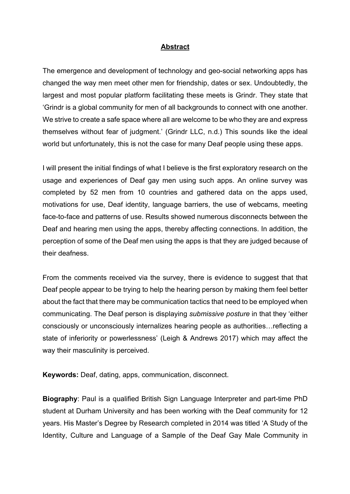## **Abstract**

The emergence and development of technology and geo-social networking apps has changed the way men meet other men for friendship, dates or sex. Undoubtedly, the largest and most popular platform facilitating these meets is Grindr. They state that 'Grindr is a global community for men of all backgrounds to connect with one another. We strive to create a safe space where all are welcome to be who they are and express themselves without fear of judgment.' (Grindr LLC, n.d.) This sounds like the ideal world but unfortunately, this is not the case for many Deaf people using these apps.

I will present the initial findings of what I believe is the first exploratory research on the usage and experiences of Deaf gay men using such apps. An online survey was completed by 52 men from 10 countries and gathered data on the apps used, motivations for use, Deaf identity, language barriers, the use of webcams, meeting face-to-face and patterns of use. Results showed numerous disconnects between the Deaf and hearing men using the apps, thereby affecting connections. In addition, the perception of some of the Deaf men using the apps is that they are judged because of their deafness.

From the comments received via the survey, there is evidence to suggest that that Deaf people appear to be trying to help the hearing person by making them feel better about the fact that there may be communication tactics that need to be employed when communicating. The Deaf person is displaying *submissive posture* in that they 'either consciously or unconsciously internalizes hearing people as authorities…reflecting a state of inferiority or powerlessness' (Leigh & Andrews 2017) which may affect the way their masculinity is perceived.

**Keywords:** Deaf, dating, apps, communication, disconnect.

**Biography**: Paul is a qualified British Sign Language Interpreter and part-time PhD student at Durham University and has been working with the Deaf community for 12 years. His Master's Degree by Research completed in 2014 was titled 'A Study of the Identity, Culture and Language of a Sample of the Deaf Gay Male Community in